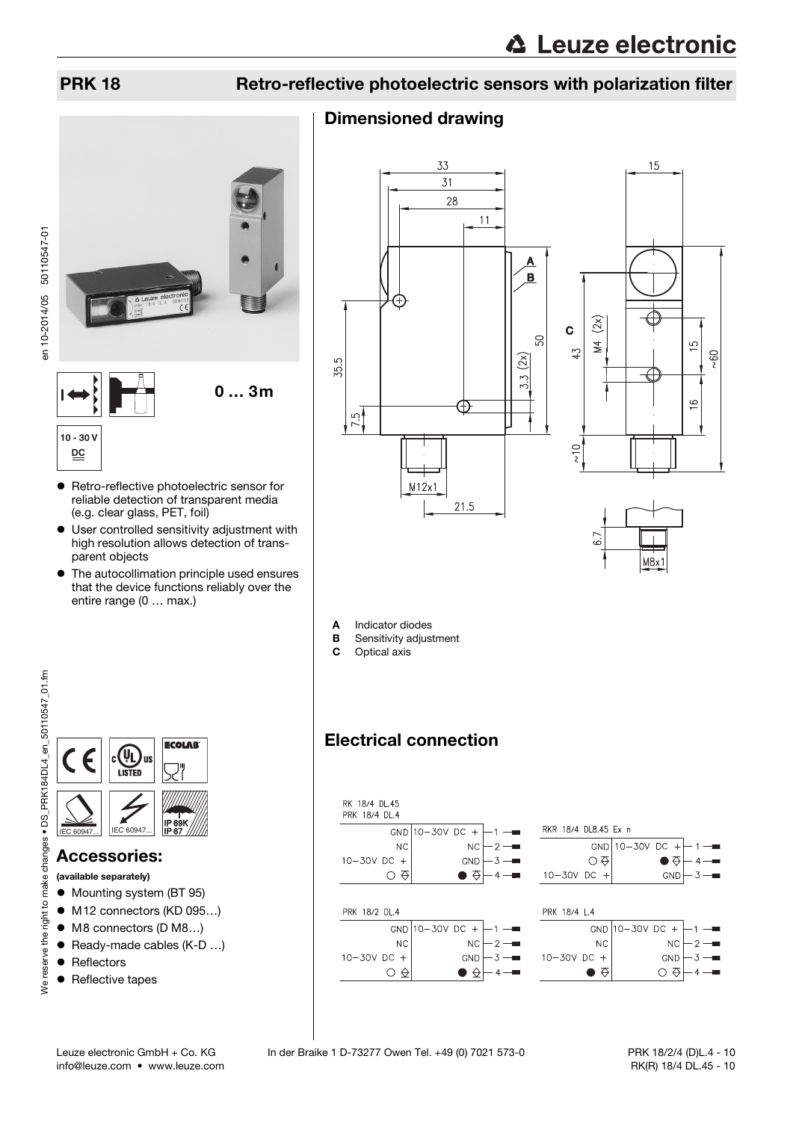## PRK 18 Retro-reflective photoelectric sensors with polarization filter

# en 10-2014/05 50110547-01 en 10-2014/05 50110547-010 … 3m  $\overline{1}$ **10 - 30 V DC**

- Retro-reflective photoelectric sensor for reliable detection of transparent media (e.g. clear glass, PET, foil)
- User controlled sensitivity adjustment with high resolution allows detection of transparent objects
- The autocollimation principle used ensures that the device functions reliably over the entire range (0 … max.)



## Accessories:

- (available separately)
- $\bullet$  Mounting system (BT 95)
- M12 connectors (KD 095...)
- M8 connectors (D M8…)
- Ready-made cables (K-D ...)
- Reflectors
- Reflective tapes

## Dimensioned drawing







- A Indicator diodes
- **B** Sensitivity adjustment<br>**C** Optical axis
	- Optical axis

## Electrical connection

| RK 18/4 DL.45<br>PRK 18/4 DL.4 |                          |                  |                      |                       |  |  |  |  |  |
|--------------------------------|--------------------------|------------------|----------------------|-----------------------|--|--|--|--|--|
|                                | GND $10 - 30V$ DC $+$    |                  | RKR 18/4 DL8.45 Ex n |                       |  |  |  |  |  |
| <b>NC</b>                      | <b>NC</b>                | $2 -$            | <b>GND</b>           | $10-30V$ DC<br>$^{+}$ |  |  |  |  |  |
| $10 - 30V$ DC +                | <b>GND</b>               | $3 - 1$          | ⊙⇔                   | ●⇔                    |  |  |  |  |  |
| ⇔                              |                          | $4 -$            | $10 - 30V$ DC +      | $3 -$<br>GND          |  |  |  |  |  |
|                                |                          |                  |                      |                       |  |  |  |  |  |
| PRK 18/2 DL.4                  |                          |                  | PRK 18/4 L.4         |                       |  |  |  |  |  |
|                                | GND $10 - 30V$ DC<br>$+$ |                  |                      | GND 10-30V DC +       |  |  |  |  |  |
| <b>NC</b>                      | NC                       | - 2 —            | <b>NC</b>            | ΝC<br>2               |  |  |  |  |  |
| $10 - 30V$ DC +                | <b>GND</b>               | $\overline{3}$ – | $10 - 30V$ DC +      | 3<br><b>GND</b>       |  |  |  |  |  |
| ⇔                              | 佥                        |                  | ↔                    | ↔                     |  |  |  |  |  |